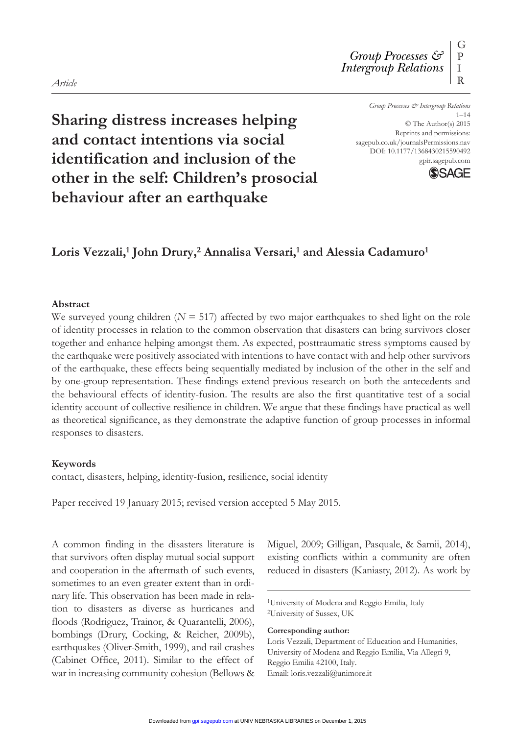**Sharing distress increases helping and contact intentions via social identification and inclusion of the other in the self: Children's prosocial behaviour after an earthquake**

*Group Processes & Intergroup Relations*  $1 - 14$ © The Author(s) 2015 Reprints and permissions: sagepub.co.uk/journalsPermissions.nav DOI: 10.1177/1368430215590492 gpir.sagepub.com



# $\rm Loris\, Vezzali,¹\, John\, Drury,²\, Annalisa \, Versari,¹\, and \, Alessia\, Cadamuro¹$

#### **Abstract**

We surveyed young children  $(N = 517)$  affected by two major earthquakes to shed light on the role of identity processes in relation to the common observation that disasters can bring survivors closer together and enhance helping amongst them. As expected, posttraumatic stress symptoms caused by the earthquake were positively associated with intentions to have contact with and help other survivors of the earthquake, these effects being sequentially mediated by inclusion of the other in the self and by one-group representation. These findings extend previous research on both the antecedents and the behavioural effects of identity-fusion. The results are also the first quantitative test of a social identity account of collective resilience in children. We argue that these findings have practical as well as theoretical significance, as they demonstrate the adaptive function of group processes in informal responses to disasters.

### **Keywords**

contact, disasters, helping, identity-fusion, resilience, social identity

Paper received 19 January 2015; revised version accepted 5 May 2015.

A common finding in the disasters literature is that survivors often display mutual social support and cooperation in the aftermath of such events, sometimes to an even greater extent than in ordinary life. This observation has been made in relation to disasters as diverse as hurricanes and floods (Rodriguez, Trainor, & Quarantelli, 2006), bombings (Drury, Cocking, & Reicher, 2009b), earthquakes (Oliver-Smith, 1999), and rail crashes (Cabinet Office, 2011). Similar to the effect of war in increasing community cohesion (Bellows &

Miguel, 2009; Gilligan, Pasquale, & Samii, 2014), existing conflicts within a community are often reduced in disasters (Kaniasty, 2012). As work by

1University of Modena and Reggio Emilia, Italy 2University of Sussex, UK

**Corresponding author:**

Loris Vezzali, Department of Education and Humanities, University of Modena and Reggio Emilia, Via Allegri 9, Reggio Emilia 42100, Italy. Email: [loris.vezzali@unimore.it](mailto:loris.vezzali@unimore.it)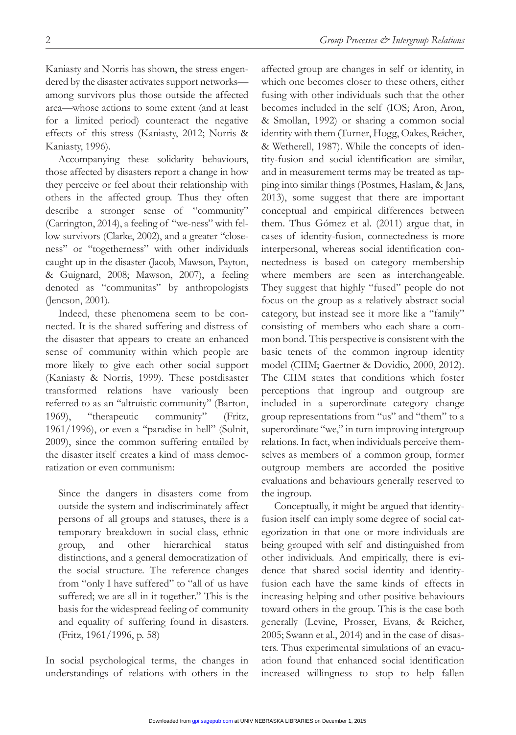Kaniasty and Norris has shown, the stress engendered by the disaster activates support networks among survivors plus those outside the affected area—whose actions to some extent (and at least for a limited period) counteract the negative effects of this stress (Kaniasty, 2012; Norris & Kaniasty, 1996).

Accompanying these solidarity behaviours, those affected by disasters report a change in how they perceive or feel about their relationship with others in the affected group. Thus they often describe a stronger sense of "community" (Carrington, 2014), a feeling of "we-ness" with fellow survivors (Clarke, 2002), and a greater "closeness" or "togetherness" with other individuals caught up in the disaster (Jacob, Mawson, Payton, & Guignard, 2008; Mawson, 2007), a feeling denoted as "communitas" by anthropologists (Jencson, 2001).

Indeed, these phenomena seem to be connected. It is the shared suffering and distress of the disaster that appears to create an enhanced sense of community within which people are more likely to give each other social support (Kaniasty & Norris, 1999). These postdisaster transformed relations have variously been referred to as an "altruistic community" (Barton, 1969), "therapeutic community" (Fritz, 1961/1996), or even a "paradise in hell" (Solnit, 2009), since the common suffering entailed by the disaster itself creates a kind of mass democratization or even communism:

Since the dangers in disasters come from outside the system and indiscriminately affect persons of all groups and statuses, there is a temporary breakdown in social class, ethnic group, and other hierarchical status distinctions, and a general democratization of the social structure. The reference changes from "only I have suffered" to "all of us have suffered; we are all in it together." This is the basis for the widespread feeling of community and equality of suffering found in disasters. (Fritz, 1961/1996, p. 58)

In social psychological terms, the changes in understandings of relations with others in the

affected group are changes in self or identity, in which one becomes closer to these others, either fusing with other individuals such that the other becomes included in the self (IOS; Aron, Aron, & Smollan, 1992) or sharing a common social identity with them (Turner, Hogg, Oakes, Reicher, & Wetherell, 1987). While the concepts of identity-fusion and social identification are similar, and in measurement terms may be treated as tapping into similar things (Postmes, Haslam, & Jans, 2013), some suggest that there are important conceptual and empirical differences between them. Thus Gómez et al. (2011) argue that, in cases of identity-fusion, connectedness is more interpersonal, whereas social identification connectedness is based on category membership where members are seen as interchangeable. They suggest that highly "fused" people do not focus on the group as a relatively abstract social category, but instead see it more like a "family" consisting of members who each share a common bond. This perspective is consistent with the basic tenets of the common ingroup identity model (CIIM; Gaertner & Dovidio, 2000, 2012). The CIIM states that conditions which foster perceptions that ingroup and outgroup are included in a superordinate category change group representations from "us" and "them" to a superordinate "we," in turn improving intergroup relations. In fact, when individuals perceive themselves as members of a common group, former outgroup members are accorded the positive evaluations and behaviours generally reserved to the ingroup.

Conceptually, it might be argued that identityfusion itself can imply some degree of social categorization in that one or more individuals are being grouped with self and distinguished from other individuals. And empirically, there is evidence that shared social identity and identityfusion each have the same kinds of effects in increasing helping and other positive behaviours toward others in the group. This is the case both generally (Levine, Prosser, Evans, & Reicher, 2005; Swann et al., 2014) and in the case of disasters. Thus experimental simulations of an evacuation found that enhanced social identification increased willingness to stop to help fallen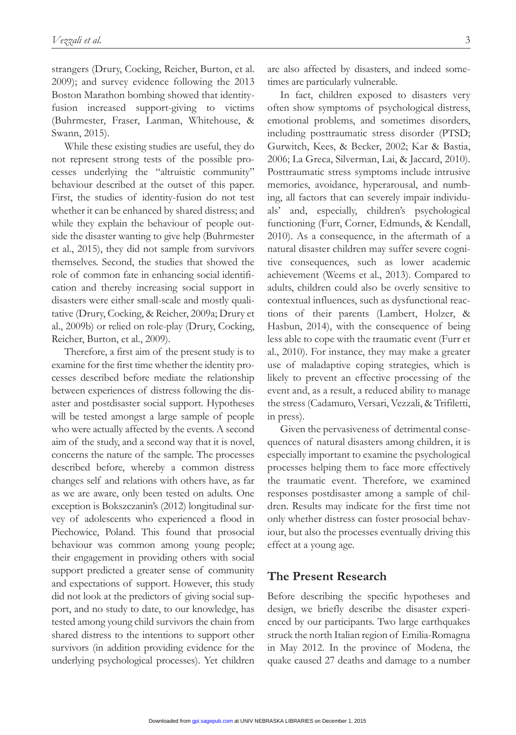strangers (Drury, Cocking, Reicher, Burton, et al. 2009); and survey evidence following the 2013 Boston Marathon bombing showed that identityfusion increased support-giving to victims (Buhrmester, Fraser, Lanman, Whitehouse, & Swann, 2015).

While these existing studies are useful, they do not represent strong tests of the possible processes underlying the "altruistic community" behaviour described at the outset of this paper. First, the studies of identity-fusion do not test whether it can be enhanced by shared distress; and while they explain the behaviour of people outside the disaster wanting to give help (Buhrmester et al., 2015), they did not sample from survivors themselves. Second, the studies that showed the role of common fate in enhancing social identification and thereby increasing social support in disasters were either small-scale and mostly qualitative (Drury, Cocking, & Reicher, 2009a; Drury et al., 2009b) or relied on role-play (Drury, Cocking, Reicher, Burton, et al., 2009).

Therefore, a first aim of the present study is to examine for the first time whether the identity processes described before mediate the relationship between experiences of distress following the disaster and postdisaster social support. Hypotheses will be tested amongst a large sample of people who were actually affected by the events. A second aim of the study, and a second way that it is novel, concerns the nature of the sample. The processes described before, whereby a common distress changes self and relations with others have, as far as we are aware, only been tested on adults. One exception is Bokszczanin's (2012) longitudinal survey of adolescents who experienced a flood in Piechowice, Poland. This found that prosocial behaviour was common among young people; their engagement in providing others with social support predicted a greater sense of community and expectations of support. However, this study did not look at the predictors of giving social support, and no study to date, to our knowledge, has tested among young child survivors the chain from shared distress to the intentions to support other survivors (in addition providing evidence for the underlying psychological processes). Yet children

are also affected by disasters, and indeed sometimes are particularly vulnerable.

In fact, children exposed to disasters very often show symptoms of psychological distress, emotional problems, and sometimes disorders, including posttraumatic stress disorder (PTSD; Gurwitch, Kees, & Becker, 2002; Kar & Bastia, 2006; La Greca, Silverman, Lai, & Jaccard, 2010). Posttraumatic stress symptoms include intrusive memories, avoidance, hyperarousal, and numbing, all factors that can severely impair individuals' and, especially, children's psychological functioning (Furr, Corner, Edmunds, & Kendall, 2010). As a consequence, in the aftermath of a natural disaster children may suffer severe cognitive consequences, such as lower academic achievement (Weems et al., 2013). Compared to adults, children could also be overly sensitive to contextual influences, such as dysfunctional reactions of their parents (Lambert, Holzer, & Hasbun, 2014), with the consequence of being less able to cope with the traumatic event (Furr et al., 2010). For instance, they may make a greater use of maladaptive coping strategies, which is likely to prevent an effective processing of the event and, as a result, a reduced ability to manage the stress (Cadamuro, Versari, Vezzali, & Trifiletti, in press).

Given the pervasiveness of detrimental consequences of natural disasters among children, it is especially important to examine the psychological processes helping them to face more effectively the traumatic event. Therefore, we examined responses postdisaster among a sample of children. Results may indicate for the first time not only whether distress can foster prosocial behaviour, but also the processes eventually driving this effect at a young age.

### **The Present Research**

Before describing the specific hypotheses and design, we briefly describe the disaster experienced by our participants. Two large earthquakes struck the north Italian region of Emilia-Romagna in May 2012. In the province of Modena, the quake caused 27 deaths and damage to a number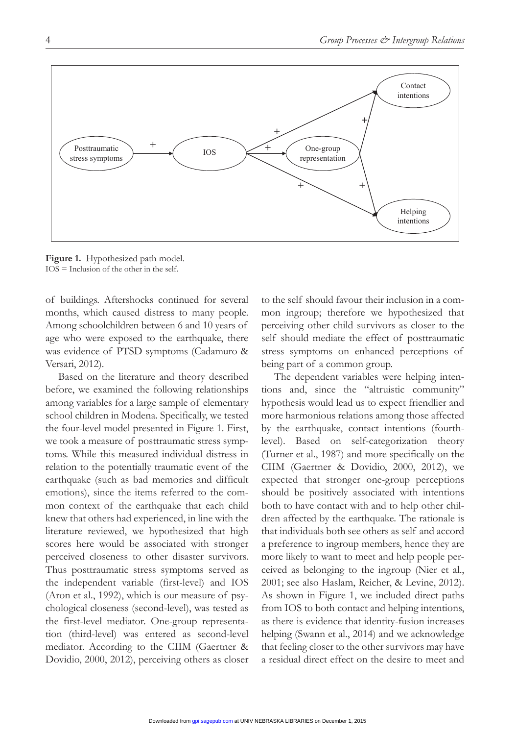

**Figure 1.** Hypothesized path model. IOS = Inclusion of the other in the self.

of buildings. Aftershocks continued for several months, which caused distress to many people. Among schoolchildren between 6 and 10 years of age who were exposed to the earthquake, there was evidence of PTSD symptoms (Cadamuro & Versari, 2012).

Based on the literature and theory described before, we examined the following relationships among variables for a large sample of elementary school children in Modena. Specifically, we tested the four-level model presented in Figure 1. First, we took a measure of posttraumatic stress symptoms. While this measured individual distress in relation to the potentially traumatic event of the earthquake (such as bad memories and difficult emotions), since the items referred to the common context of the earthquake that each child knew that others had experienced, in line with the literature reviewed, we hypothesized that high scores here would be associated with stronger perceived closeness to other disaster survivors. Thus posttraumatic stress symptoms served as the independent variable (first-level) and IOS (Aron et al., 1992), which is our measure of psychological closeness (second-level), was tested as the first-level mediator. One-group representation (third-level) was entered as second-level mediator. According to the CIIM (Gaertner & Dovidio, 2000, 2012), perceiving others as closer to the self should favour their inclusion in a common ingroup; therefore we hypothesized that perceiving other child survivors as closer to the self should mediate the effect of posttraumatic stress symptoms on enhanced perceptions of being part of a common group.

The dependent variables were helping intentions and, since the "altruistic community" hypothesis would lead us to expect friendlier and more harmonious relations among those affected by the earthquake, contact intentions (fourthlevel). Based on self-categorization theory (Turner et al., 1987) and more specifically on the CIIM (Gaertner & Dovidio, 2000, 2012), we expected that stronger one-group perceptions should be positively associated with intentions both to have contact with and to help other children affected by the earthquake. The rationale is that individuals both see others as self and accord a preference to ingroup members, hence they are more likely to want to meet and help people perceived as belonging to the ingroup (Nier et al., 2001; see also Haslam, Reicher, & Levine, 2012). As shown in Figure 1, we included direct paths from IOS to both contact and helping intentions, as there is evidence that identity-fusion increases helping (Swann et al., 2014) and we acknowledge that feeling closer to the other survivors may have a residual direct effect on the desire to meet and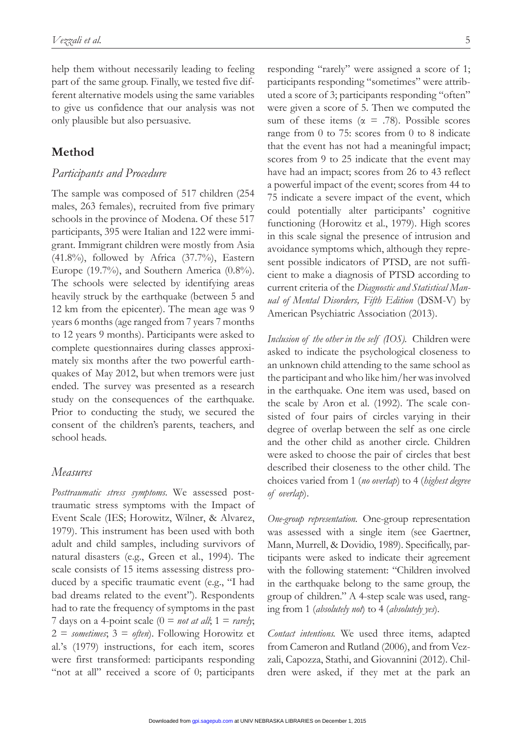help them without necessarily leading to feeling part of the same group. Finally, we tested five different alternative models using the same variables to give us confidence that our analysis was not only plausible but also persuasive.

# **Method**

#### *Participants and Procedure*

The sample was composed of 517 children (254 males, 263 females), recruited from five primary schools in the province of Modena. Of these 517 participants, 395 were Italian and 122 were immigrant. Immigrant children were mostly from Asia (41.8%), followed by Africa (37.7%), Eastern Europe (19.7%), and Southern America (0.8%). The schools were selected by identifying areas heavily struck by the earthquake (between 5 and 12 km from the epicenter). The mean age was 9 years 6 months (age ranged from 7 years 7 months to 12 years 9 months). Participants were asked to complete questionnaires during classes approximately six months after the two powerful earthquakes of May 2012, but when tremors were just ended. The survey was presented as a research study on the consequences of the earthquake. Prior to conducting the study, we secured the consent of the children's parents, teachers, and school heads.

### *Measures*

*Posttraumatic stress symptoms.* We assessed posttraumatic stress symptoms with the Impact of Event Scale (IES; Horowitz, Wilner, & Alvarez, 1979). This instrument has been used with both adult and child samples, including survivors of natural disasters (e.g., Green et al., 1994). The scale consists of 15 items assessing distress produced by a specific traumatic event (e.g., "I had bad dreams related to the event"). Respondents had to rate the frequency of symptoms in the past 7 days on a 4-point scale  $(0 = not at all; 1 = rarely;$ 2 = *sometimes*; 3 = *often*). Following Horowitz et al.'s (1979) instructions, for each item, scores were first transformed: participants responding "not at all" received a score of 0; participants

responding "rarely" were assigned a score of 1; participants responding "sometimes" were attributed a score of 3; participants responding "often" were given a score of 5. Then we computed the sum of these items ( $\alpha$  = .78). Possible scores range from 0 to 75: scores from 0 to 8 indicate that the event has not had a meaningful impact; scores from 9 to 25 indicate that the event may have had an impact; scores from 26 to 43 reflect a powerful impact of the event; scores from 44 to 75 indicate a severe impact of the event, which could potentially alter participants' cognitive functioning (Horowitz et al., 1979). High scores in this scale signal the presence of intrusion and avoidance symptoms which, although they represent possible indicators of PTSD, are not sufficient to make a diagnosis of PTSD according to current criteria of the *Diagnostic and Statistical Manual of Mental Disorders, Fifth Edition* (DSM-V) by American Psychiatric Association (2013).

*Inclusion of the other in the self (IOS).* Children were asked to indicate the psychological closeness to an unknown child attending to the same school as the participant and who like him/her was involved in the earthquake. One item was used, based on the scale by Aron et al. (1992). The scale consisted of four pairs of circles varying in their degree of overlap between the self as one circle and the other child as another circle. Children were asked to choose the pair of circles that best described their closeness to the other child. The choices varied from 1 (*no overlap*) to 4 (*highest degree of overlap*).

*One-group representation.* One-group representation was assessed with a single item (see Gaertner, Mann, Murrell, & Dovidio, 1989). Specifically, participants were asked to indicate their agreement with the following statement: "Children involved in the earthquake belong to the same group, the group of children." A 4-step scale was used, ranging from 1 (*absolutely not*) to 4 (*absolutely yes*).

*Contact intentions.* We used three items, adapted from Cameron and Rutland (2006), and from Vezzali, Capozza, Stathi, and Giovannini (2012). Children were asked, if they met at the park an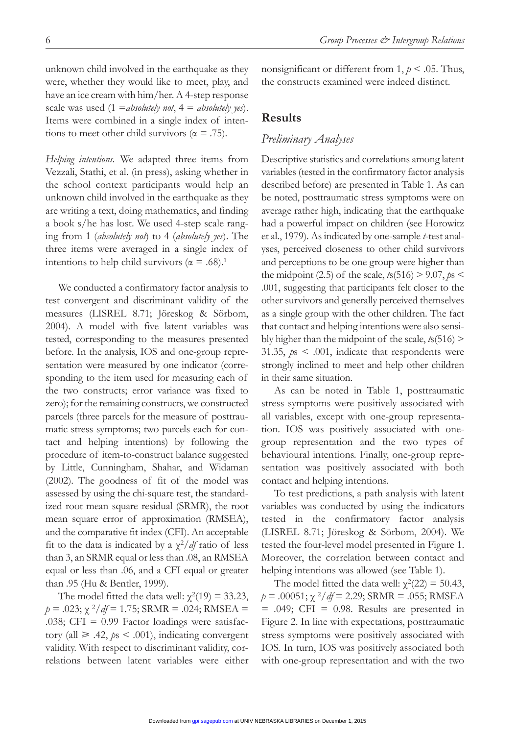unknown child involved in the earthquake as they were, whether they would like to meet, play, and have an ice cream with him/her. A 4-step response scale was used (1 =*absolutely not*, 4 = *absolutely yes*). Items were combined in a single index of intentions to meet other child survivors ( $\alpha = .75$ ).

*Helping intentions.* We adapted three items from Vezzali, Stathi, et al. (in press), asking whether in the school context participants would help an unknown child involved in the earthquake as they are writing a text, doing mathematics, and finding a book s/he has lost. We used 4-step scale ranging from 1 (*absolutely not*) to 4 (*absolutely yes*). The three items were averaged in a single index of intentions to help child survivors ( $\alpha = .68$ ).<sup>1</sup>

We conducted a confirmatory factor analysis to test convergent and discriminant validity of the measures (LISREL 8.71; Jöreskog & Sörbom, 2004). A model with five latent variables was tested, corresponding to the measures presented before. In the analysis, IOS and one-group representation were measured by one indicator (corresponding to the item used for measuring each of the two constructs; error variance was fixed to zero); for the remaining constructs, we constructed parcels (three parcels for the measure of posttraumatic stress symptoms; two parcels each for contact and helping intentions) by following the procedure of item-to-construct balance suggested by Little, Cunningham, Shahar, and Widaman (2002). The goodness of fit of the model was assessed by using the chi-square test, the standardized root mean square residual (SRMR), the root mean square error of approximation (RMSEA), and the comparative fit index (CFI). An acceptable fit to the data is indicated by a  $\chi^2/df$  ratio of less than 3, an SRMR equal or less than .08, an RMSEA equal or less than .06, and a CFI equal or greater than .95 (Hu & Bentler, 1999).

The model fitted the data well:  $\gamma^2(19) = 33.23$ ,  $p = .023$ ;  $\gamma^2/df = 1.75$ ; SRMR = .024; RMSEA = .038; CFI =  $0.99$  Factor loadings were satisfactory (all  $\geq$  .42, *ps* < .001), indicating convergent validity. With respect to discriminant validity, correlations between latent variables were either nonsignificant or different from 1,  $p < .05$ . Thus, the constructs examined were indeed distinct.

### **Results**

### *Preliminary Analyses*

Descriptive statistics and correlations among latent variables (tested in the confirmatory factor analysis described before) are presented in Table 1. As can be noted, posttraumatic stress symptoms were on average rather high, indicating that the earthquake had a powerful impact on children (see Horowitz et al., 1979). As indicated by one-sample *t*-test analyses, perceived closeness to other child survivors and perceptions to be one group were higher than the midpoint (2.5) of the scale,  $t s(516) > 9.07$ ,  $p s <$ .001, suggesting that participants felt closer to the other survivors and generally perceived themselves as a single group with the other children. The fact that contact and helping intentions were also sensibly higher than the midpoint of the scale, *t*s(516) > 31.35,  $ps < .001$ , indicate that respondents were strongly inclined to meet and help other children in their same situation.

As can be noted in Table 1, posttraumatic stress symptoms were positively associated with all variables, except with one-group representation. IOS was positively associated with onegroup representation and the two types of behavioural intentions. Finally, one-group representation was positively associated with both contact and helping intentions.

To test predictions, a path analysis with latent variables was conducted by using the indicators tested in the confirmatory factor analysis (LISREL 8.71; Jöreskog & Sörbom, 2004). We tested the four-level model presented in Figure 1. Moreover, the correlation between contact and helping intentions was allowed (see Table 1).

The model fitted the data well:  $\gamma^2(22) = 50.43$ ,  $p = .00051$ ;  $\gamma^2/df = 2.29$ ; SRMR = .055; RMSEA  $= .049$ ; CFI  $= 0.98$ . Results are presented in Figure 2. In line with expectations, posttraumatic stress symptoms were positively associated with IOS. In turn, IOS was positively associated both with one-group representation and with the two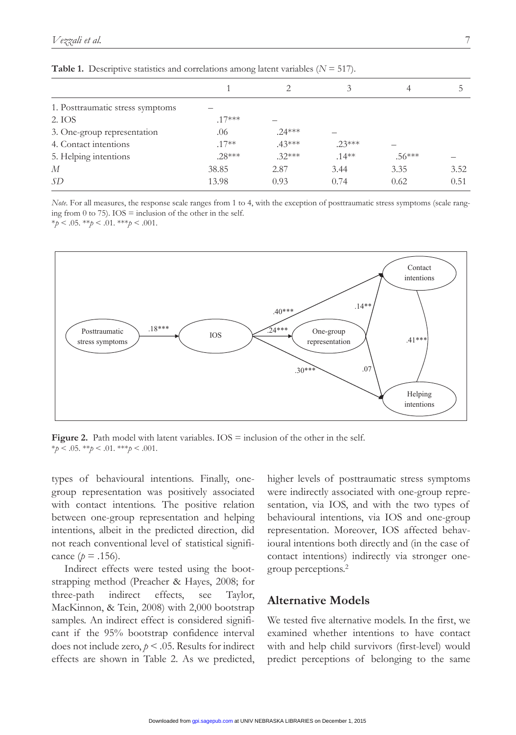|                                  |         |          | 3        | 4        |      |
|----------------------------------|---------|----------|----------|----------|------|
| 1. Posttraumatic stress symptoms |         |          |          |          |      |
| 2. IOS                           | .17***  |          |          |          |      |
| 3. One-group representation      | .06     | $.24***$ |          |          |      |
| 4. Contact intentions            | $.17**$ | $.43***$ | $23***$  |          |      |
| 5. Helping intentions            | $28***$ | $32***$  | $.14***$ | $.56***$ |      |
| M                                | 38.85   | 2.87     | 3.44     | 3.35     | 3.52 |
| SD                               | 13.98   | 0.93     | 0.74     | 0.62     | 0.51 |
|                                  |         |          |          |          |      |

**Table 1.** Descriptive statistics and correlations among latent variables  $(N = 517)$ .

*Note*. For all measures, the response scale ranges from 1 to 4, with the exception of posttraumatic stress symptoms (scale ranging from 0 to 75).  $IOS = inclusion of the other in the self.$ 

 $*_{p}$  < .05.  $*_{p}$  < .01.  $*_{p}$  < .001.



**Figure 2.** Path model with latent variables. IOS = inclusion of the other in the self.  $*_{p}$  < .05.  $*_{p}$  < .01.  $*_{p}$  < .001.

types of behavioural intentions. Finally, onegroup representation was positively associated with contact intentions. The positive relation between one-group representation and helping intentions, albeit in the predicted direction, did not reach conventional level of statistical significance ( $p = .156$ ).

Indirect effects were tested using the bootstrapping method (Preacher & Hayes, 2008; for three-path indirect effects, see Taylor, MacKinnon, & Tein, 2008) with 2,000 bootstrap samples. An indirect effect is considered significant if the 95% bootstrap confidence interval does not include zero, *p* < .05. Results for indirect effects are shown in Table 2. As we predicted,

higher levels of posttraumatic stress symptoms were indirectly associated with one-group representation, via IOS, and with the two types of behavioural intentions, via IOS and one-group representation. Moreover, IOS affected behavioural intentions both directly and (in the case of contact intentions) indirectly via stronger onegroup perceptions.2

### **Alternative Models**

We tested five alternative models. In the first, we examined whether intentions to have contact with and help child survivors (first-level) would predict perceptions of belonging to the same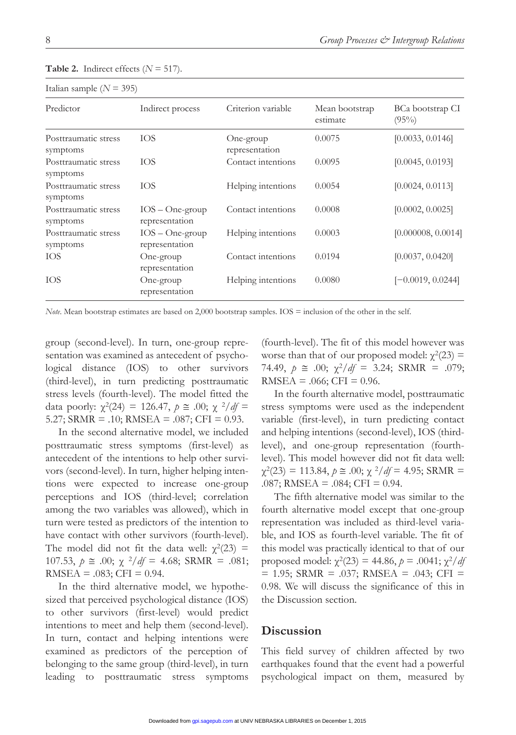| Italian sample ( $N = 395$ )     |                                     |                             |                            |                           |  |  |
|----------------------------------|-------------------------------------|-----------------------------|----------------------------|---------------------------|--|--|
| Predictor                        | Indirect process                    | Criterion variable          | Mean bootstrap<br>estimate | BCa bootstrap CI<br>(95%) |  |  |
| Posttraumatic stress<br>symptoms | <b>IOS</b>                          | One-group<br>representation | 0.0075                     | [0.0033, 0.0146]          |  |  |
| Posttraumatic stress<br>symptoms | <b>IOS</b>                          | Contact intentions          | 0.0095                     | [0.0045, 0.0193]          |  |  |
| Posttraumatic stress<br>symptoms | <b>IOS</b>                          | Helping intentions          | 0.0054                     | [0.0024, 0.0113]          |  |  |
| Posttraumatic stress<br>symptoms | $IOS - One-group$<br>representation | Contact intentions          | 0.0008                     | [0.0002, 0.0025]          |  |  |
| Posttraumatic stress<br>symptoms | $IOS - One-group$<br>representation | Helping intentions          | 0.0003                     | [0.000008, 0.0014]        |  |  |
| <b>IOS</b>                       | One-group<br>representation         | Contact intentions          | 0.0194                     | [0.0037, 0.0420]          |  |  |
| <b>IOS</b>                       | One-group<br>representation         | Helping intentions          | 0.0080                     | $[-0.0019, 0.0244]$       |  |  |

**Table 2.** Indirect effects  $(N = 517)$ .

*Note*. Mean bootstrap estimates are based on 2,000 bootstrap samples. IOS = inclusion of the other in the self.

group (second-level). In turn, one-group representation was examined as antecedent of psychological distance (IOS) to other survivors (third-level), in turn predicting posttraumatic stress levels (fourth-level). The model fitted the data poorly:  $\chi^2(24) = 126.47$ ,  $p \approx .00$ ;  $\chi^2/df =$ 5.27; SRMR = .10; RMSEA = .087; CFI = 0.93.

In the second alternative model, we included posttraumatic stress symptoms (first-level) as antecedent of the intentions to help other survivors (second-level). In turn, higher helping intentions were expected to increase one-group perceptions and IOS (third-level; correlation among the two variables was allowed), which in turn were tested as predictors of the intention to have contact with other survivors (fourth-level). The model did not fit the data well:  $\gamma^2(23)$  = 107.53,  $p \approx .00$ ;  $\gamma^2/df = 4.68$ ; SRMR = .081; RMSEA =  $.083$ ; CFI = 0.94.

In the third alternative model, we hypothesized that perceived psychological distance (IOS) to other survivors (first-level) would predict intentions to meet and help them (second-level). In turn, contact and helping intentions were examined as predictors of the perception of belonging to the same group (third-level), in turn leading to posttraumatic stress symptoms (fourth-level). The fit of this model however was worse than that of our proposed model:  $\gamma^2(23)$  = 74.49,  $p \approx .00$ ;  $\frac{\gamma^2}{4f} = 3.24$ ; SRMR = .079;  $RMSEA = .066$ ; CFI = 0.96.

In the fourth alternative model, posttraumatic stress symptoms were used as the independent variable (first-level), in turn predicting contact and helping intentions (second-level), IOS (thirdlevel), and one-group representation (fourthlevel). This model however did not fit data well:  $\gamma^2(23) = 113.84$ ,  $p \approx .00$ ;  $\gamma^2/df = 4.95$ ; SRMR =  $.087: RMSEA = .084: CFI = 0.94.$ 

The fifth alternative model was similar to the fourth alternative model except that one-group representation was included as third-level variable, and IOS as fourth-level variable. The fit of this model was practically identical to that of our proposed model: χ2(23) = 44.86, *p* = .0041; χ2/*df*  $= 1.95$ ; SRMR  $= .037$ ; RMSEA  $= .043$ ; CFI  $=$ 0.98. We will discuss the significance of this in the Discussion section.

# **Discussion**

This field survey of children affected by two earthquakes found that the event had a powerful psychological impact on them, measured by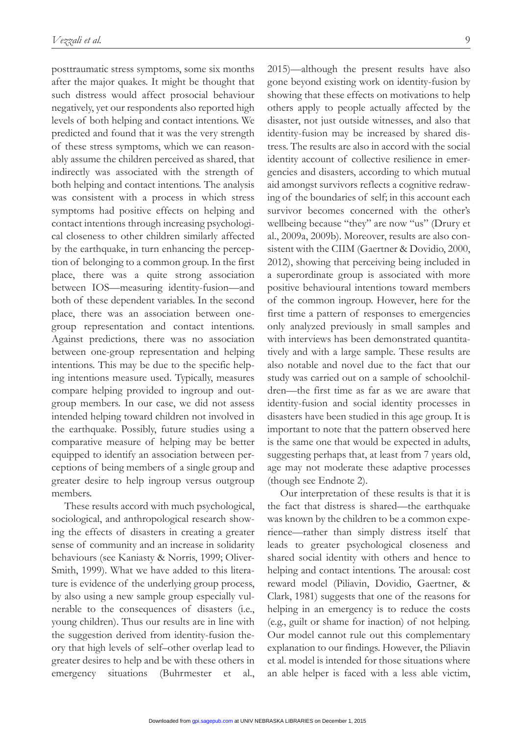posttraumatic stress symptoms, some six months after the major quakes. It might be thought that such distress would affect prosocial behaviour negatively, yet our respondents also reported high levels of both helping and contact intentions. We predicted and found that it was the very strength of these stress symptoms, which we can reasonably assume the children perceived as shared, that indirectly was associated with the strength of both helping and contact intentions. The analysis was consistent with a process in which stress symptoms had positive effects on helping and contact intentions through increasing psychological closeness to other children similarly affected by the earthquake, in turn enhancing the perception of belonging to a common group. In the first place, there was a quite strong association between IOS—measuring identity-fusion—and both of these dependent variables. In the second place, there was an association between onegroup representation and contact intentions. Against predictions, there was no association between one-group representation and helping intentions. This may be due to the specific helping intentions measure used. Typically, measures compare helping provided to ingroup and outgroup members. In our case, we did not assess intended helping toward children not involved in the earthquake. Possibly, future studies using a comparative measure of helping may be better equipped to identify an association between perceptions of being members of a single group and greater desire to help ingroup versus outgroup members.

These results accord with much psychological, sociological, and anthropological research showing the effects of disasters in creating a greater sense of community and an increase in solidarity behaviours (see Kaniasty & Norris, 1999; Oliver-Smith, 1999). What we have added to this literature is evidence of the underlying group process, by also using a new sample group especially vulnerable to the consequences of disasters (i.e., young children). Thus our results are in line with the suggestion derived from identity-fusion theory that high levels of self–other overlap lead to greater desires to help and be with these others in emergency situations (Buhrmester et al.,

2015)—although the present results have also gone beyond existing work on identity-fusion by showing that these effects on motivations to help others apply to people actually affected by the disaster, not just outside witnesses, and also that identity-fusion may be increased by shared distress. The results are also in accord with the social identity account of collective resilience in emergencies and disasters, according to which mutual aid amongst survivors reflects a cognitive redrawing of the boundaries of self; in this account each survivor becomes concerned with the other's wellbeing because "they" are now "us" (Drury et al., 2009a, 2009b). Moreover, results are also consistent with the CIIM (Gaertner & Dovidio, 2000, 2012), showing that perceiving being included in a superordinate group is associated with more positive behavioural intentions toward members of the common ingroup. However, here for the first time a pattern of responses to emergencies only analyzed previously in small samples and with interviews has been demonstrated quantitatively and with a large sample. These results are also notable and novel due to the fact that our study was carried out on a sample of schoolchildren—the first time as far as we are aware that identity-fusion and social identity processes in disasters have been studied in this age group. It is important to note that the pattern observed here is the same one that would be expected in adults, suggesting perhaps that, at least from 7 years old, age may not moderate these adaptive processes (though see Endnote 2).

Our interpretation of these results is that it is the fact that distress is shared—the earthquake was known by the children to be a common experience—rather than simply distress itself that leads to greater psychological closeness and shared social identity with others and hence to helping and contact intentions. The arousal: cost reward model (Piliavin, Dovidio, Gaertner, & Clark, 1981) suggests that one of the reasons for helping in an emergency is to reduce the costs (e.g., guilt or shame for inaction) of not helping. Our model cannot rule out this complementary explanation to our findings. However, the Piliavin et al. model is intended for those situations where an able helper is faced with a less able victim,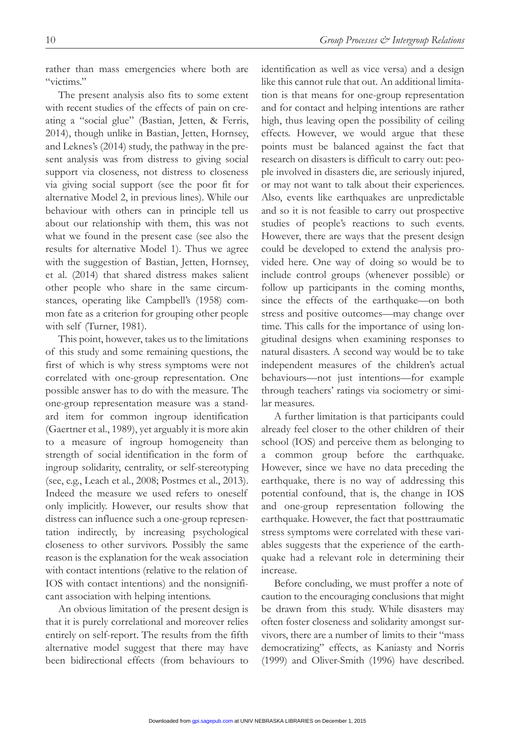rather than mass emergencies where both are "victims."

The present analysis also fits to some extent with recent studies of the effects of pain on creating a "social glue" (Bastian, Jetten, & Ferris, 2014), though unlike in Bastian, Jetten, Hornsey, and Leknes's (2014) study, the pathway in the present analysis was from distress to giving social support via closeness, not distress to closeness via giving social support (see the poor fit for alternative Model 2, in previous lines). While our behaviour with others can in principle tell us about our relationship with them, this was not what we found in the present case (see also the results for alternative Model 1). Thus we agree with the suggestion of Bastian, Jetten, Hornsey, et al. (2014) that shared distress makes salient other people who share in the same circumstances, operating like Campbell's (1958) common fate as a criterion for grouping other people with self (Turner, 1981).

This point, however, takes us to the limitations of this study and some remaining questions, the first of which is why stress symptoms were not correlated with one-group representation. One possible answer has to do with the measure. The one-group representation measure was a standard item for common ingroup identification (Gaertner et al., 1989), yet arguably it is more akin to a measure of ingroup homogeneity than strength of social identification in the form of ingroup solidarity, centrality, or self-stereotyping (see, e.g., Leach et al., 2008; Postmes et al., 2013). Indeed the measure we used refers to oneself only implicitly. However, our results show that distress can influence such a one-group representation indirectly, by increasing psychological closeness to other survivors. Possibly the same reason is the explanation for the weak association with contact intentions (relative to the relation of IOS with contact intentions) and the nonsignificant association with helping intentions.

An obvious limitation of the present design is that it is purely correlational and moreover relies entirely on self-report. The results from the fifth alternative model suggest that there may have been bidirectional effects (from behaviours to

identification as well as vice versa) and a design like this cannot rule that out. An additional limitation is that means for one-group representation and for contact and helping intentions are rather high, thus leaving open the possibility of ceiling effects. However, we would argue that these points must be balanced against the fact that research on disasters is difficult to carry out: people involved in disasters die, are seriously injured, or may not want to talk about their experiences. Also, events like earthquakes are unpredictable and so it is not feasible to carry out prospective studies of people's reactions to such events. However, there are ways that the present design could be developed to extend the analysis provided here. One way of doing so would be to include control groups (whenever possible) or follow up participants in the coming months, since the effects of the earthquake—on both stress and positive outcomes—may change over time. This calls for the importance of using longitudinal designs when examining responses to natural disasters. A second way would be to take independent measures of the children's actual behaviours—not just intentions—for example through teachers' ratings via sociometry or similar measures.

A further limitation is that participants could already feel closer to the other children of their school (IOS) and perceive them as belonging to a common group before the earthquake. However, since we have no data preceding the earthquake, there is no way of addressing this potential confound, that is, the change in IOS and one-group representation following the earthquake. However, the fact that posttraumatic stress symptoms were correlated with these variables suggests that the experience of the earthquake had a relevant role in determining their increase.

Before concluding, we must proffer a note of caution to the encouraging conclusions that might be drawn from this study. While disasters may often foster closeness and solidarity amongst survivors, there are a number of limits to their "mass democratizing" effects, as Kaniasty and Norris (1999) and Oliver-Smith (1996) have described.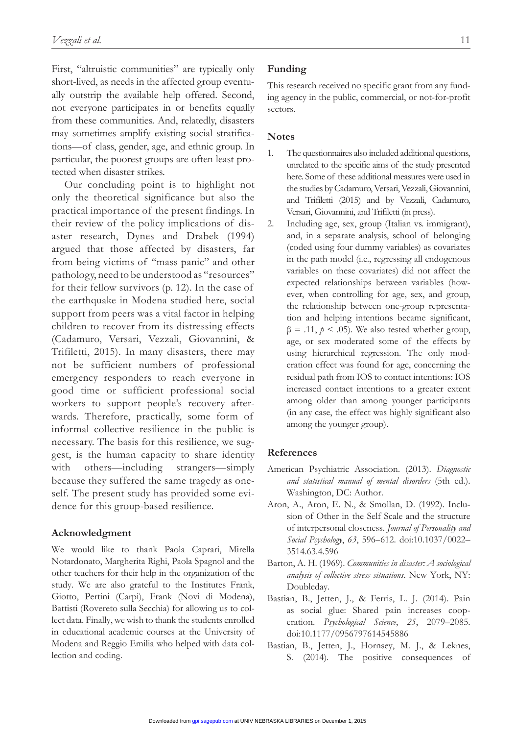First, "altruistic communities" are typically only short-lived, as needs in the affected group eventually outstrip the available help offered. Second, not everyone participates in or benefits equally from these communities. And, relatedly, disasters may sometimes amplify existing social stratifications—of class, gender, age, and ethnic group. In particular, the poorest groups are often least protected when disaster strikes.

Our concluding point is to highlight not only the theoretical significance but also the practical importance of the present findings. In their review of the policy implications of disaster research, Dynes and Drabek (1994) argued that those affected by disasters, far from being victims of "mass panic" and other pathology, need to be understood as "resources" for their fellow survivors (p. 12). In the case of the earthquake in Modena studied here, social support from peers was a vital factor in helping children to recover from its distressing effects (Cadamuro, Versari, Vezzali, Giovannini, & Trifiletti, 2015). In many disasters, there may not be sufficient numbers of professional emergency responders to reach everyone in good time or sufficient professional social workers to support people's recovery afterwards. Therefore, practically, some form of informal collective resilience in the public is necessary. The basis for this resilience, we suggest, is the human capacity to share identity with others—including strangers—simply because they suffered the same tragedy as oneself. The present study has provided some evidence for this group-based resilience.

#### **Acknowledgment**

We would like to thank Paola Caprari, Mirella Notardonato, Margherita Righi, Paola Spagnol and the other teachers for their help in the organization of the study. We are also grateful to the Institutes Frank, Giotto, Pertini (Carpi), Frank (Novi di Modena), Battisti (Rovereto sulla Secchia) for allowing us to collect data. Finally, we wish to thank the students enrolled in educational academic courses at the University of Modena and Reggio Emilia who helped with data collection and coding.

#### **Funding**

This research received no specific grant from any funding agency in the public, commercial, or not-for-profit sectors.

#### **Notes**

- 1. The questionnaires also included additional questions, unrelated to the specific aims of the study presented here. Some of these additional measures were used in the studies by Cadamuro, Versari, Vezzali, Giovannini, and Trifiletti (2015) and by Vezzali, Cadamuro, Versari, Giovannini, and Trifiletti (in press).
- 2. Including age, sex, group (Italian vs. immigrant), and, in a separate analysis, school of belonging (coded using four dummy variables) as covariates in the path model (i.e., regressing all endogenous variables on these covariates) did not affect the expected relationships between variables (however, when controlling for age, sex, and group, the relationship between one-group representation and helping intentions became significant,  $β = .11, p < .05$ ). We also tested whether group, age, or sex moderated some of the effects by using hierarchical regression. The only moderation effect was found for age, concerning the residual path from IOS to contact intentions: IOS increased contact intentions to a greater extent among older than among younger participants (in any case, the effect was highly significant also among the younger group).

#### **References**

- American Psychiatric Association. (2013). *Diagnostic and statistical manual of mental disorders* (5th ed.). Washington, DC: Author.
- Aron, A., Aron, E. N., & Smollan, D. (1992). Inclusion of Other in the Self Scale and the structure of interpersonal closeness. *Journal of Personality and Social Psychology*, *63*, 596–612. doi:10.1037/0022– 3514.63.4.596
- Barton, A. H. (1969). *Communities in disaster: A sociological analysis of collective stress situations*. New York, NY: Doubleday.
- Bastian, B., Jetten, J., & Ferris, L. J. (2014). Pain as social glue: Shared pain increases cooperation. *Psychological Science*, *25*, 2079–2085. doi:10.1177/0956797614545886
- Bastian, B., Jetten, J., Hornsey, M. J., & Leknes, S. (2014). The positive consequences of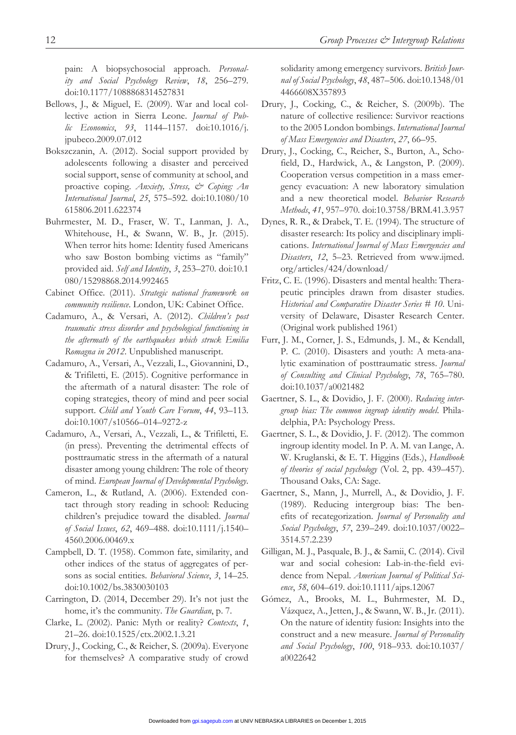pain: A biopsychosocial approach. *Personality and Social Psychology Review*, *18*, 256–279. doi:10.1177/1088868314527831

- Bellows, J., & Miguel, E. (2009). War and local collective action in Sierra Leone. *Journal of Public Economics*, *93*, 1144–1157. doi:10.1016/j. jpubeco.2009.07.012
- Bokszczanin, A. (2012). Social support provided by adolescents following a disaster and perceived social support, sense of community at school, and proactive coping. *Anxiety, Stress, & Coping: An International Journal*, *25*, 575–592. doi:10.1080/10 615806.2011.622374
- Buhrmester, M. D., Fraser, W. T., Lanman, J. A., Whitehouse, H., & Swann, W. B., Jr. (2015). When terror hits home: Identity fused Americans who saw Boston bombing victims as "family" provided aid. *Self and Identity*, *3*, 253–270. doi:10.1 080/15298868.2014.992465
- Cabinet Office. (2011). *Strategic national framework on community resilience*. London, UK: Cabinet Office.
- Cadamuro, A., & Versari, A. (2012). *Children's post traumatic stress disorder and psychological functioning in the aftermath of the earthquakes which struck Emilia Romagna in 2012*. Unpublished manuscript.
- Cadamuro, A., Versari, A., Vezzali, L., Giovannini, D., & Trifiletti, E. (2015). Cognitive performance in the aftermath of a natural disaster: The role of coping strategies, theory of mind and peer social support. *Child and Youth Care Forum*, *44*, 93–113. doi:10.1007/s10566–014–9272-z
- Cadamuro, A., Versari, A., Vezzali, L., & Trifiletti, E. (in press). Preventing the detrimental effects of posttraumatic stress in the aftermath of a natural disaster among young children: The role of theory of mind. *European Journal of Developmental Psychology*.
- Cameron, L., & Rutland, A. (2006). Extended contact through story reading in school: Reducing children's prejudice toward the disabled. *Journal of Social Issues*, *62*, 469–488. doi:10.1111/j.1540– 4560.2006.00469.x
- Campbell, D. T. (1958). Common fate, similarity, and other indices of the status of aggregates of persons as social entities. *Behavioral Science*, *3*, 14–25. doi:10.1002/bs.3830030103
- Carrington, D. (2014, December 29). It's not just the home, it's the community. *The Guardian*, p. 7.
- Clarke, L. (2002). Panic: Myth or reality? *Contexts*, *1*, 21–26. doi:10.1525/ctx.2002.1.3.21
- Drury, J., Cocking, C., & Reicher, S. (2009a). Everyone for themselves? A comparative study of crowd

solidarity among emergency survivors. *British Journal of Social Psychology*, *48*, 487–506. doi:10.1348/01 4466608X357893

- Drury, J., Cocking, C., & Reicher, S. (2009b). The nature of collective resilience: Survivor reactions to the 2005 London bombings. *International Journal of Mass Emergencies and Disasters*, *27*, 66–95.
- Drury, J., Cocking, C., Reicher, S., Burton, A., Schofield, D., Hardwick, A., & Langston, P. (2009). Cooperation versus competition in a mass emergency evacuation: A new laboratory simulation and a new theoretical model. *Behavior Research Methods*, *41*, 957–970. doi:10.3758/BRM.41.3.957
- Dynes, R. R., & Drabek, T. E. (1994). The structure of disaster research: Its policy and disciplinary implications. *International Journal of Mass Emergencies and Disasters*, *12*, 5–23. Retrieved from [www.ijmed.](www.ijmed.org/articles/424/download/) [org/articles/424/download/](www.ijmed.org/articles/424/download/)
- Fritz, C. E. (1996). Disasters and mental health: Therapeutic principles drawn from disaster studies. *Historical and Comparative Disaster Series # 10*. University of Delaware, Disaster Research Center. (Original work published 1961)
- Furr, J. M., Corner, J. S., Edmunds, J. M., & Kendall, P. C. (2010). Disasters and youth: A meta-analytic examination of posttraumatic stress. *Journal of Consulting and Clinical Psychology*, *78*, 765–780. doi:10.1037/a0021482
- Gaertner, S. L., & Dovidio, J. F. (2000). *Reducing intergroup bias: The common ingroup identity model*. Philadelphia, PA: Psychology Press.
- Gaertner, S. L., & Dovidio, J. F. (2012). The common ingroup identity model. In P. A. M. van Lange, A. W. Kruglanski, & E. T. Higgins (Eds.), *Handbook of theories of social psychology* (Vol. 2, pp. 439–457). Thousand Oaks, CA: Sage.
- Gaertner, S., Mann, J., Murrell, A., & Dovidio, J. F. (1989). Reducing intergroup bias: The benefits of recategorization. *Journal of Personality and Social Psychology*, *57*, 239–249. doi:10.1037/0022– 3514.57.2.239
- Gilligan, M. J., Pasquale, B. J., & Samii, C. (2014). Civil war and social cohesion: Lab-in-the-field evidence from Nepal. *American Journal of Political Science*, *58*, 604–619. doi:10.1111/ajps.12067
- Gómez, A., Brooks, M. L., Buhrmester, M. D., Vázquez, A., Jetten, J., & Swann, W. B., Jr. (2011). On the nature of identity fusion: Insights into the construct and a new measure. *Journal of Personality and Social Psychology*, *100*, 918–933. doi:10.1037/ a0022642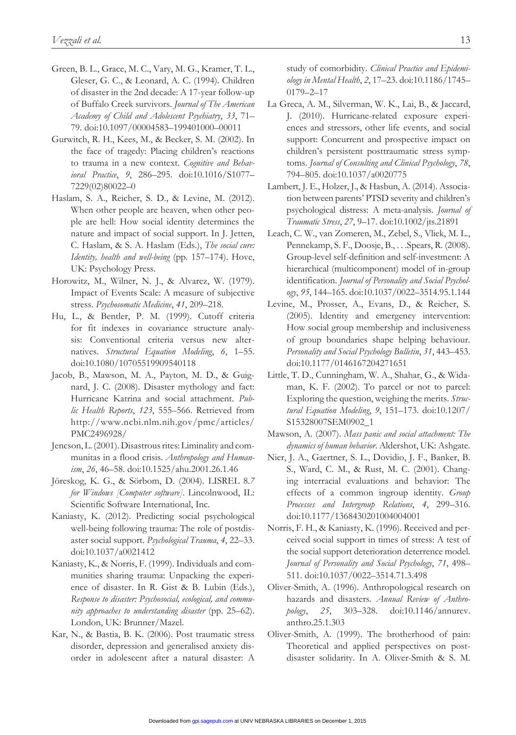- Green, B. L., Grace, M. C., Vary, M. G., Kramer, T. L., Gleser, G. C., & Leonard, A. C. (1994). Children of disaster in the 2nd decade: A 17-year follow-up of Buffalo Creek survivors. *Journal of The American Academy of Child and Adolescent Psychiatry*, *33*, 71– 79. doi:10.1097/00004583–199401000–00011
- Gurwitch, R. H., Kees, M., & Becker, S. M. (2002). In the face of tragedy: Placing children's reactions to trauma in a new context. *Cognitive and Behavioral Practice*, *9*, 286–295. doi:10.1016/S1077– 7229(02)80022–0
- Haslam, S. A., Reicher, S. D., & Levine, M. (2012). When other people are heaven, when other people are hell: How social identity determines the nature and impact of social support. In J. Jetten, C. Haslam, & S. A. Haslam (Eds.), *The social cure: Identity, health and well-being* (pp. 157–174). Hove, UK: Psychology Press.
- Horowitz, M., Wilner, N. J., & Alvarez, W. (1979). Impact of Events Scale: A measure of subjective stress. *Psychosomatic Medicine*, *41*, 209–218.
- Hu, L., & Bentler, P. M. (1999). Cutoff criteria for fit indexes in covariance structure analysis: Conventional criteria versus new alternatives. *Structural Equation Modeling*, *6*, 1–55. doi:10.1080/10705519909540118
- Jacob, B., Mawson, M. A., Payton, M. D., & Guignard, J. C. (2008). Disaster mythology and fact: Hurricane Katrina and social attachment. *Public Health Reports*, *123*, 555–566. Retrieved from [http://www.ncbi.nlm.nih.gov/pmc/articles/](http://www.ncbi.nlm.nih.gov/pmc/articles/PMC2496928/) [PMC2496928/](http://www.ncbi.nlm.nih.gov/pmc/articles/PMC2496928/)
- Jencson, L. (2001). Disastrous rites: Liminality and communitas in a flood crisis. *Anthropology and Humanism*, *26*, 46–58. doi:10.1525/ahu.2001.26.1.46
- Jöreskog, K. G., & Sörbom, D. (2004). LISREL 8.*7 for Windows [Computer software]*. Lincolnwood, IL: Scientific Software International, Inc.
- Kaniasty, K. (2012). Predicting social psychological well-being following trauma: The role of postdisaster social support. *Psychological Trauma*, *4*, 22–33. doi:10.1037/a0021412
- Kaniasty, K., & Norris, F. (1999). Individuals and communities sharing trauma: Unpacking the experience of disaster. In R. Gist & B. Lubin (Eds.), *Response to disaster: Psychosocial, ecological, and community approaches to understanding disaster* (pp. 25–62). London, UK: Brunner/Mazel.
- Kar, N., & Bastia, B. K. (2006). Post traumatic stress disorder, depression and generalised anxiety disorder in adolescent after a natural disaster: A

study of comorbidity. *Clinical Practice and Epidemiology in Mental Health*, *2*, 17–23. doi:10.1186/1745– 0179–2–17

- La Greca, A. M., Silverman, W. K., Lai, B., & Jaccard, J. (2010). Hurricane-related exposure experiences and stressors, other life events, and social support: Concurrent and prospective impact on children's persistent posttraumatic stress symptoms. *Journal of Consulting and Clinical Psychology*, *78*, 794–805. doi:10.1037/a0020775
- Lambert, J. E., Holzer, J., & Hasbun, A. (2014). Association between parents' PTSD severity and children's psychological distress: A meta-analysis. *Journal of Traumatic Stress*, *27*, 9–17. doi:10.1002/jts.21891
- Leach, C. W., van Zomeren, M., Zebel, S., Vliek, M. L., Pennekamp, S. F., Doosje, B., . . .Spears, R. (2008). Group-level self-definition and self-investment: A hierarchical (multicomponent) model of in-group identification. *Journal of Personality and Social Psychology*, *95*, 144–165. doi:10.1037/0022–3514.95.1.144
- Levine, M., Prosser, A., Evans, D., & Reicher, S. (2005). Identity and emergency intervention: How social group membership and inclusiveness of group boundaries shape helping behaviour. *Personality and Social Psychology Bulletin*, *31*, 443–453. doi:10.1177/0146167204271651
- Little, T. D., Cunningham, W. A., Shahar, G., & Widaman, K. F. (2002). To parcel or not to parcel: Exploring the question, weighing the merits. *Structural Equation Modeling*, *9*, 151–173. doi:10.1207/ S15328007SEM0902\_1
- Mawson, A. (2007). *Mass panic and social attachment: The dynamics of human behavior*. Aldershot, UK: Ashgate.
- Nier, J. A., Gaertner, S. L., Dovidio, J. F., Banker, B. S., Ward, C. M., & Rust, M. C. (2001). Changing interracial evaluations and behavior: The effects of a common ingroup identity. *Group Processes and Intergroup Relations*, *4*, 299–316. doi:10.1177/1368430201004004001
- Norris, F. H., & Kaniasty, K. (1996). Received and perceived social support in times of stress: A test of the social support deterioration deterrence model. *Journal of Personality and Social Psychology*, *71*, 498– 511. doi:10.1037/0022–3514.71.3.498
- Oliver-Smith, A. (1996). Anthropological research on hazards and disasters. *Annual Review of Anthropology*, *25*, 303–328. doi:10.1146/annurev. anthro.25.1.303
- Oliver-Smith, A. (1999). The brotherhood of pain: Theoretical and applied perspectives on postdisaster solidarity. In A. Oliver-Smith & S. M.